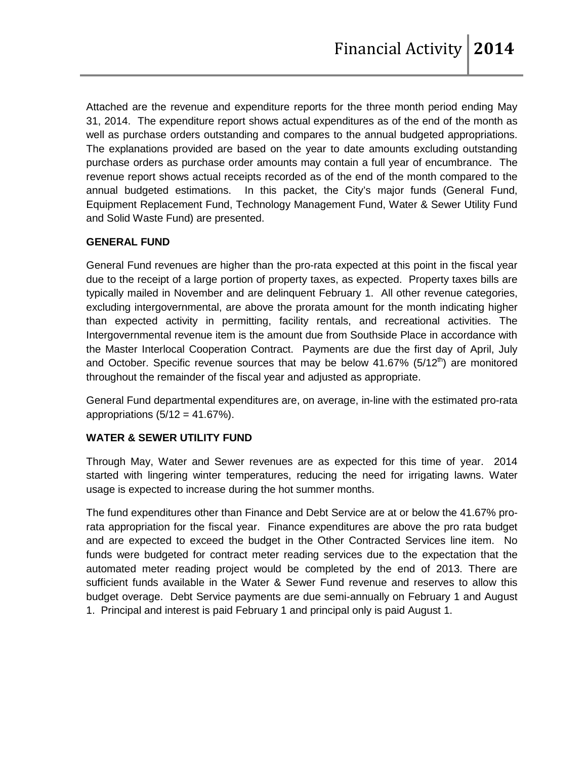Attached are the revenue and expenditure reports for the three month period ending May 31, 2014. The expenditure report shows actual expenditures as of the end of the month as well as purchase orders outstanding and compares to the annual budgeted appropriations. The explanations provided are based on the year to date amounts excluding outstanding purchase orders as purchase order amounts may contain a full year of encumbrance. The revenue report shows actual receipts recorded as of the end of the month compared to the annual budgeted estimations. In this packet, the City's major funds (General Fund, Equipment Replacement Fund, Technology Management Fund, Water & Sewer Utility Fund and Solid Waste Fund) are presented.

### **GENERAL FUND**

General Fund revenues are higher than the pro-rata expected at this point in the fiscal year due to the receipt of a large portion of property taxes, as expected. Property taxes bills are typically mailed in November and are delinquent February 1. All other revenue categories, excluding intergovernmental, are above the prorata amount for the month indicating higher than expected activity in permitting, facility rentals, and recreational activities. The Intergovernmental revenue item is the amount due from Southside Place in accordance with the Master Interlocal Cooperation Contract. Payments are due the first day of April, July and October. Specific revenue sources that may be below  $41.67\%$  (5/12<sup>th</sup>) are monitored throughout the remainder of the fiscal year and adjusted as appropriate.

General Fund departmental expenditures are, on average, in-line with the estimated pro-rata appropriations  $(5/12 = 41.67\%)$ .

### **WATER & SEWER UTILITY FUND**

Through May, Water and Sewer revenues are as expected for this time of year. 2014 started with lingering winter temperatures, reducing the need for irrigating lawns. Water usage is expected to increase during the hot summer months.

The fund expenditures other than Finance and Debt Service are at or below the 41.67% prorata appropriation for the fiscal year. Finance expenditures are above the pro rata budget and are expected to exceed the budget in the Other Contracted Services line item. No funds were budgeted for contract meter reading services due to the expectation that the automated meter reading project would be completed by the end of 2013. There are sufficient funds available in the Water & Sewer Fund revenue and reserves to allow this budget overage. Debt Service payments are due semi-annually on February 1 and August 1. Principal and interest is paid February 1 and principal only is paid August 1.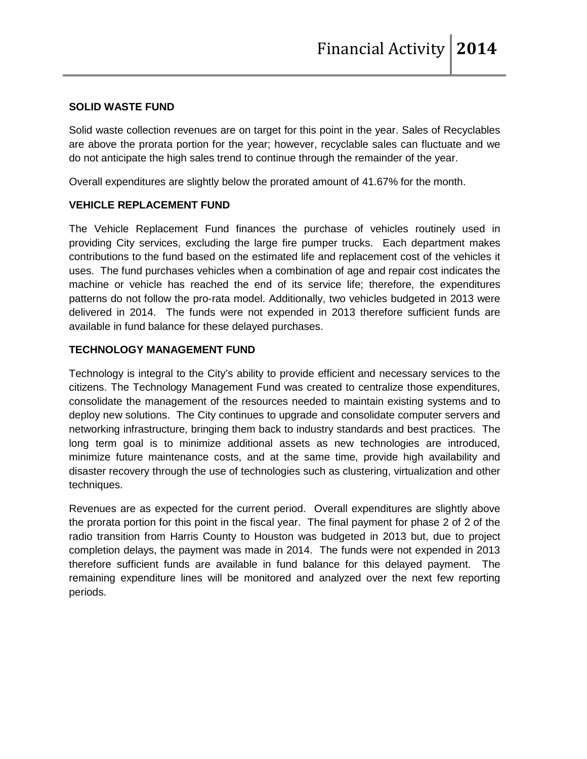#### **SOLID WASTE FUND**

Solid waste collection revenues are on target for this point in the year. Sales of Recyclables are above the prorata portion for the year; however, recyclable sales can fluctuate and we do not anticipate the high sales trend to continue through the remainder of the year.

Overall expenditures are slightly below the prorated amount of 41.67% for the month.

#### **VEHICLE REPLACEMENT FUND**

The Vehicle Replacement Fund finances the purchase of vehicles routinely used in providing City services, excluding the large fire pumper trucks. Each department makes contributions to the fund based on the estimated life and replacement cost of the vehicles it uses. The fund purchases vehicles when a combination of age and repair cost indicates the machine or vehicle has reached the end of its service life; therefore, the expenditures patterns do not follow the pro-rata model. Additionally, two vehicles budgeted in 2013 were delivered in 2014. The funds were not expended in 2013 therefore sufficient funds are available in fund balance for these delayed purchases.

#### **TECHNOLOGY MANAGEMENT FUND**

Technology is integral to the City's ability to provide efficient and necessary services to the citizens. The Technology Management Fund was created to centralize those expenditures, consolidate the management of the resources needed to maintain existing systems and to deploy new solutions. The City continues to upgrade and consolidate computer servers and networking infrastructure, bringing them back to industry standards and best practices. The long term goal is to minimize additional assets as new technologies are introduced, minimize future maintenance costs, and at the same time, provide high availability and disaster recovery through the use of technologies such as clustering, virtualization and other techniques.

Revenues are as expected for the current period. Overall expenditures are slightly above the prorata portion for this point in the fiscal year. The final payment for phase 2 of 2 of the radio transition from Harris County to Houston was budgeted in 2013 but, due to project completion delays, the payment was made in 2014. The funds were not expended in 2013 therefore sufficient funds are available in fund balance for this delayed payment. The remaining expenditure lines will be monitored and analyzed over the next few reporting periods.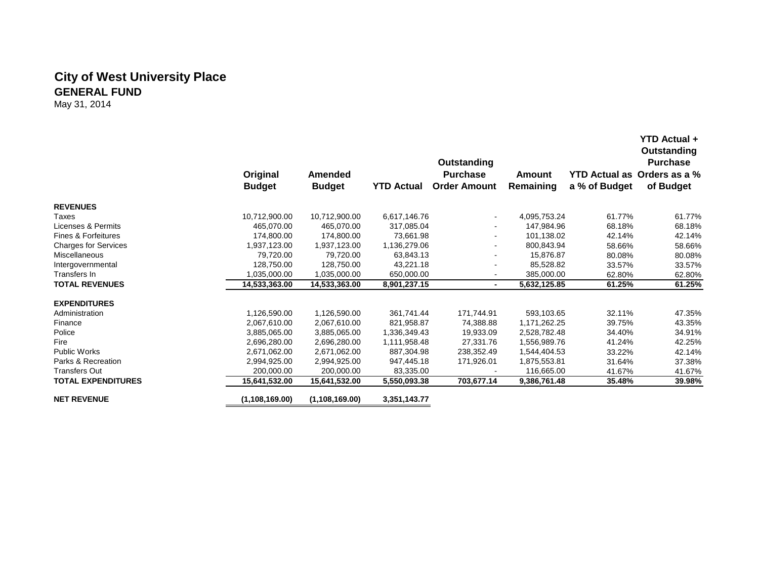# **City of West University Place GENERAL FUND**

May 31, 2014

|                             | <b>Outstanding</b><br><b>Purchase</b><br>Outstanding |                  |                   |                          |               |               |                             |  |
|-----------------------------|------------------------------------------------------|------------------|-------------------|--------------------------|---------------|---------------|-----------------------------|--|
|                             | Original                                             | Amended          |                   | <b>Purchase</b>          | <b>Amount</b> |               | YTD Actual as Orders as a % |  |
|                             | <b>Budget</b>                                        | <b>Budget</b>    | <b>YTD Actual</b> | <b>Order Amount</b>      | Remaining     | a % of Budget | of Budget                   |  |
| <b>REVENUES</b>             |                                                      |                  |                   |                          |               |               |                             |  |
| Taxes                       | 10,712,900.00                                        | 10,712,900.00    | 6,617,146.76      |                          | 4,095,753.24  | 61.77%        | 61.77%                      |  |
| Licenses & Permits          | 465,070.00                                           | 465,070.00       | 317,085.04        | $\sim$                   | 147,984.96    | 68.18%        | 68.18%                      |  |
| Fines & Forfeitures         | 174,800.00                                           | 174,800.00       | 73,661.98         | ۰.                       | 101,138.02    | 42.14%        | 42.14%                      |  |
| <b>Charges for Services</b> | 1,937,123.00                                         | 1,937,123.00     | 1,136,279.06      | ۰                        | 800,843.94    | 58.66%        | 58.66%                      |  |
| <b>Miscellaneous</b>        | 79,720.00                                            | 79,720.00        | 63,843.13         |                          | 15,876.87     | 80.08%        | 80.08%                      |  |
| Intergovernmental           | 128,750.00                                           | 128,750.00       | 43,221.18         |                          | 85,528.82     | 33.57%        | 33.57%                      |  |
| Transfers In                | 1,035,000.00                                         | 1,035,000.00     | 650,000.00        |                          | 385,000.00    | 62.80%        | 62.80%                      |  |
| <b>TOTAL REVENUES</b>       | 14,533,363.00                                        | 14,533,363.00    | 8,901,237.15      | $\overline{\phantom{0}}$ | 5,632,125.85  | 61.25%        | 61.25%                      |  |
| <b>EXPENDITURES</b>         |                                                      |                  |                   |                          |               |               |                             |  |
| Administration              | 1,126,590.00                                         | 1,126,590.00     | 361,741.44        | 171,744.91               | 593,103.65    | 32.11%        | 47.35%                      |  |
| Finance                     | 2,067,610.00                                         | 2,067,610.00     | 821,958.87        | 74,388.88                | 1,171,262.25  | 39.75%        | 43.35%                      |  |
| Police                      | 3.885.065.00                                         | 3.885.065.00     | 1.336.349.43      | 19,933.09                | 2.528.782.48  | 34.40%        | 34.91%                      |  |
| Fire                        | 2,696,280.00                                         | 2,696,280.00     | 1,111,958.48      | 27,331.76                | 1,556,989.76  | 41.24%        | 42.25%                      |  |
| Public Works                | 2,671,062.00                                         | 2,671,062.00     | 887,304.98        | 238,352.49               | 1,544,404.53  | 33.22%        | 42.14%                      |  |
| Parks & Recreation          | 2,994,925.00                                         | 2,994,925.00     | 947,445.18        | 171,926.01               | 1,875,553.81  | 31.64%        | 37.38%                      |  |
| <b>Transfers Out</b>        | 200,000.00                                           | 200,000.00       | 83,335.00         |                          | 116,665.00    | 41.67%        | 41.67%                      |  |
| <b>TOTAL EXPENDITURES</b>   | 15,641,532.00                                        | 15,641,532.00    | 5,550,093.38      | 703,677.14               | 9,386,761.48  | 35.48%        | 39.98%                      |  |
| <b>NET REVENUE</b>          | (1, 108, 169.00)                                     | (1, 108, 169.00) | 3,351,143.77      |                          |               |               |                             |  |

**YTD Actual +**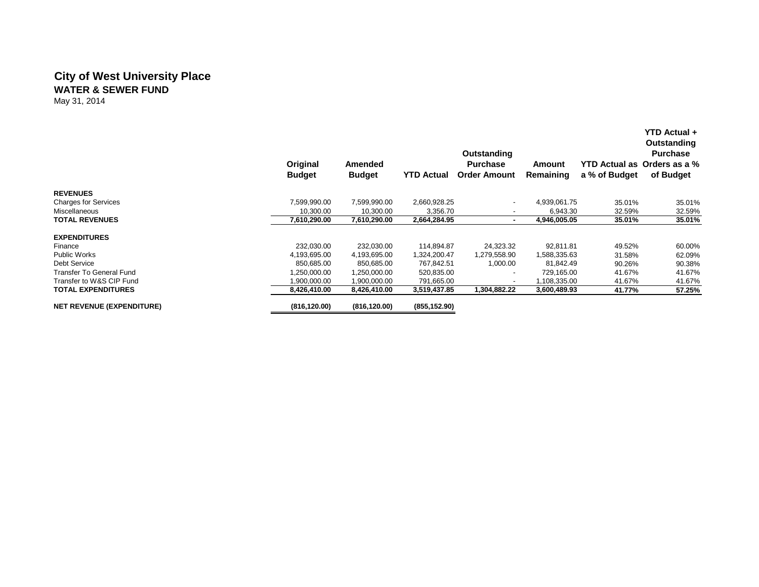### **City of West University Place WATER & SEWER FUND**

May 31, 2014

|                                  | Original<br><b>Budget</b> | Amended<br><b>Budget</b> | <b>YTD Actual</b> | Outstanding<br><b>Purchase</b><br><b>Order Amount</b> | Amount<br>Remaining | a % of Budget | <b>YTD Actual +</b><br>Outstanding<br><b>Purchase</b><br>YTD Actual as Orders as a %<br>of Budget |
|----------------------------------|---------------------------|--------------------------|-------------------|-------------------------------------------------------|---------------------|---------------|---------------------------------------------------------------------------------------------------|
| <b>REVENUES</b>                  |                           |                          |                   |                                                       |                     |               |                                                                                                   |
| <b>Charges for Services</b>      | 7,599,990.00              | 7,599,990.00             | 2,660,928.25      | $\overline{\phantom{a}}$                              | 4,939,061.75        | 35.01%        | 35.01%                                                                                            |
| Miscellaneous                    | 10,300.00                 | 10,300.00                | 3,356.70          | $\overline{\phantom{a}}$                              | 6,943.30            | 32.59%        | 32.59%                                                                                            |
| <b>TOTAL REVENUES</b>            | 7,610,290.00              | 7,610,290.00             | 2,664,284.95      | $\blacksquare$                                        | 4.946.005.05        | 35.01%        | 35.01%                                                                                            |
| <b>EXPENDITURES</b>              |                           |                          |                   |                                                       |                     |               |                                                                                                   |
| Finance                          | 232,030.00                | 232,030.00               | 114,894.87        | 24,323.32                                             | 92.811.81           | 49.52%        | 60.00%                                                                                            |
| <b>Public Works</b>              | 4,193,695.00              | 4,193,695.00             | 1,324,200.47      | 1,279,558.90                                          | 1.588.335.63        | 31.58%        | 62.09%                                                                                            |
| Debt Service                     | 850,685.00                | 850,685.00               | 767,842.51        | 1,000.00                                              | 81,842.49           | 90.26%        | 90.38%                                                                                            |
| Transfer To General Fund         | 1,250,000.00              | 1,250,000.00             | 520,835.00        | $\overline{\phantom{a}}$                              | 729,165.00          | 41.67%        | 41.67%                                                                                            |
| Transfer to W&S CIP Fund         | 1.900.000.00              | 1,900,000.00             | 791,665.00        | $\overline{\phantom{a}}$                              | 1,108,335.00        | 41.67%        | 41.67%                                                                                            |
| <b>TOTAL EXPENDITURES</b>        | 8,426,410.00              | 8,426,410.00             | 3,519,437.85      | 1,304,882.22                                          | 3,600,489.93        | 41.77%        | 57.25%                                                                                            |
| <b>NET REVENUE (EXPENDITURE)</b> | (816, 120.00)             | (816, 120.00)            | (855, 152.90)     |                                                       |                     |               |                                                                                                   |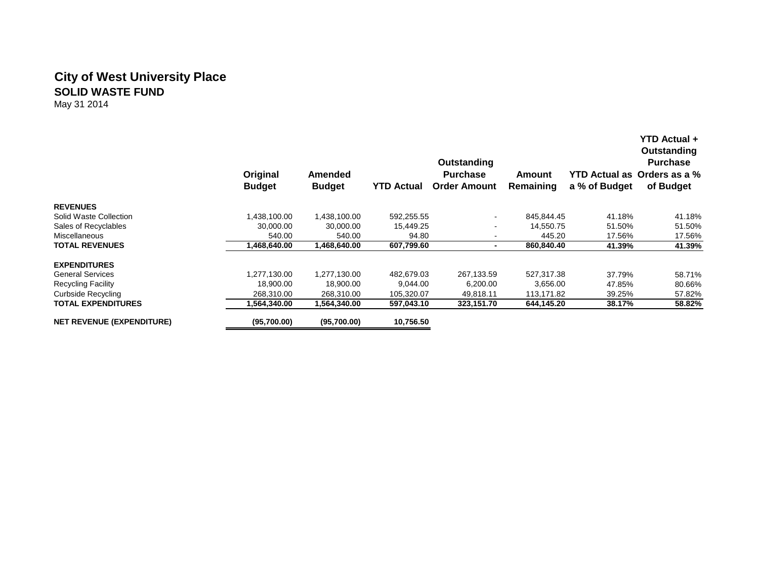## **City of West University Place SOLID WASTE FUND**

May 31 2014

|                                  | Original<br><b>Budget</b> | Amended<br><b>Budget</b> | <b>YTD Actual</b> | Outstanding<br><b>Purchase</b><br><b>Order Amount</b> | Amount<br>Remaining | a % of Budget | <b>YTD Actual +</b><br>Outstanding<br><b>Purchase</b><br>YTD Actual as Orders as a %<br>of Budget |
|----------------------------------|---------------------------|--------------------------|-------------------|-------------------------------------------------------|---------------------|---------------|---------------------------------------------------------------------------------------------------|
| <b>REVENUES</b>                  |                           |                          |                   |                                                       |                     |               |                                                                                                   |
| Solid Waste Collection           | 1,438,100.00              | 1,438,100.00             | 592,255.55        | $\sim$                                                | 845.844.45          | 41.18%        | 41.18%                                                                                            |
| Sales of Recyclables             | 30.000.00                 | 30,000.00                | 15,449.25         |                                                       | 14.550.75           | 51.50%        | 51.50%                                                                                            |
| Miscellaneous                    | 540.00                    | 540.00                   | 94.80             |                                                       | 445.20              | 17.56%        | 17.56%                                                                                            |
| <b>TOTAL REVENUES</b>            | 1,468,640.00              | 1,468,640.00             | 607,799.60        |                                                       | 860,840.40          | 41.39%        | 41.39%                                                                                            |
| <b>EXPENDITURES</b>              |                           |                          |                   |                                                       |                     |               |                                                                                                   |
| <b>General Services</b>          | 1,277,130.00              | .277,130.00              | 482.679.03        | 267,133.59                                            | 527.317.38          | 37.79%        | 58.71%                                                                                            |
| <b>Recycling Facility</b>        | 18,900.00                 | 18,900.00                | 9,044.00          | 6,200.00                                              | 3,656.00            | 47.85%        | 80.66%                                                                                            |
| Curbside Recycling               | 268,310.00                | 268,310.00               | 105,320.07        | 49,818.11                                             | 113,171.82          | 39.25%        | 57.82%                                                                                            |
| TOTAL EXPENDITURES               | .564.340.00               | 1,564,340.00             | 597,043.10        | 323,151.70                                            | 644,145.20          | 38.17%        | 58.82%                                                                                            |
| <b>NET REVENUE (EXPENDITURE)</b> | (95,700.00)               | (95,700.00)              | 10,756.50         |                                                       |                     |               |                                                                                                   |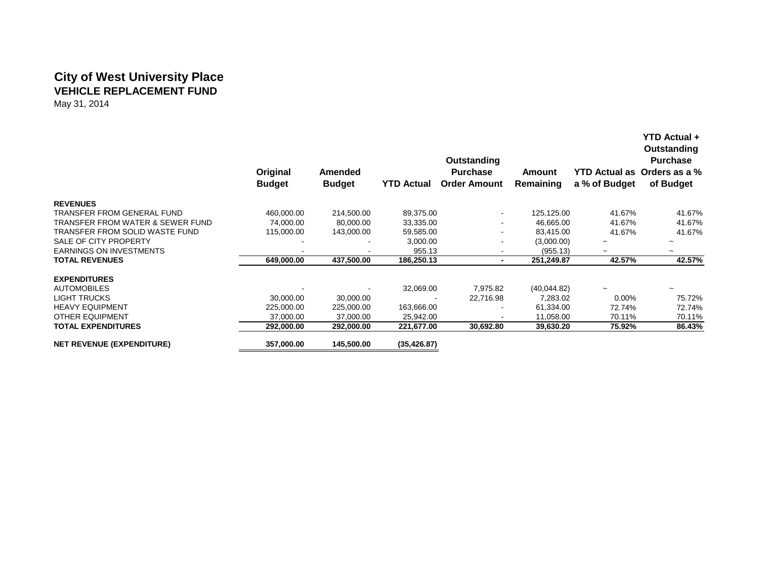# **City of West University Place VEHICLE REPLACEMENT FUND**

May 31, 2014

|                                  | Original<br><b>Budget</b> | Amended<br><b>Budget</b> | <b>YTD Actual</b> | Outstanding<br><b>Purchase</b><br><b>Order Amount</b> | Amount<br>Remaining | a % of Budget         | <b>YTD Actual +</b><br>Outstanding<br><b>Purchase</b><br>YTD Actual as Orders as a %<br>of Budget |
|----------------------------------|---------------------------|--------------------------|-------------------|-------------------------------------------------------|---------------------|-----------------------|---------------------------------------------------------------------------------------------------|
| <b>REVENUES</b>                  |                           |                          |                   |                                                       |                     |                       |                                                                                                   |
| TRANSFER FROM GENERAL FUND       | 460,000.00                | 214,500.00               | 89,375.00         | $\blacksquare$                                        | 125,125.00          | 41.67%                | 41.67%                                                                                            |
| TRANSFER FROM WATER & SEWER FUND | 74,000.00                 | 80,000.00                | 33,335.00         | $\blacksquare$                                        | 46,665.00           | 41.67%                | 41.67%                                                                                            |
| TRANSFER FROM SOLID WASTE FUND   | 115,000.00                | 143,000.00               | 59,585.00         | $\overline{\phantom{a}}$                              | 83,415.00           | 41.67%                | 41.67%                                                                                            |
| SALE OF CITY PROPERTY            |                           |                          | 3,000.00          |                                                       | (3,000.00)          | $\tilde{}$            |                                                                                                   |
| <b>EARNINGS ON INVESTMENTS</b>   |                           |                          | 955.13            |                                                       | (955.13)            | $\tilde{\phantom{a}}$ |                                                                                                   |
| <b>TOTAL REVENUES</b>            | 649,000.00                | 437,500.00               | 186,250.13        | $\blacksquare$                                        | 251,249.87          | 42.57%                | 42.57%                                                                                            |
| <b>EXPENDITURES</b>              |                           |                          |                   |                                                       |                     |                       |                                                                                                   |
| <b>AUTOMOBILES</b>               |                           |                          | 32,069.00         | 7,975.82                                              | (40,044.82)         |                       |                                                                                                   |
| <b>LIGHT TRUCKS</b>              | 30,000.00                 | 30,000.00                |                   | 22,716.98                                             | 7,283.02            | 0.00%                 | 75.72%                                                                                            |
| <b>HEAVY EQUIPMENT</b>           | 225,000.00                | 225,000.00               | 163,666.00        |                                                       | 61,334.00           | 72.74%                | 72.74%                                                                                            |
| <b>OTHER EQUIPMENT</b>           | 37,000.00                 | 37,000.00                | 25,942.00         |                                                       | 11,058.00           | 70.11%                | 70.11%                                                                                            |
| <b>TOTAL EXPENDITURES</b>        | 292,000.00                | 292,000.00               | 221,677.00        | 30,692.80                                             | 39,630.20           | 75.92%                | 86.43%                                                                                            |
| <b>NET REVENUE (EXPENDITURE)</b> | 357,000.00                | 145,500.00               | (35, 426.87)      |                                                       |                     |                       |                                                                                                   |